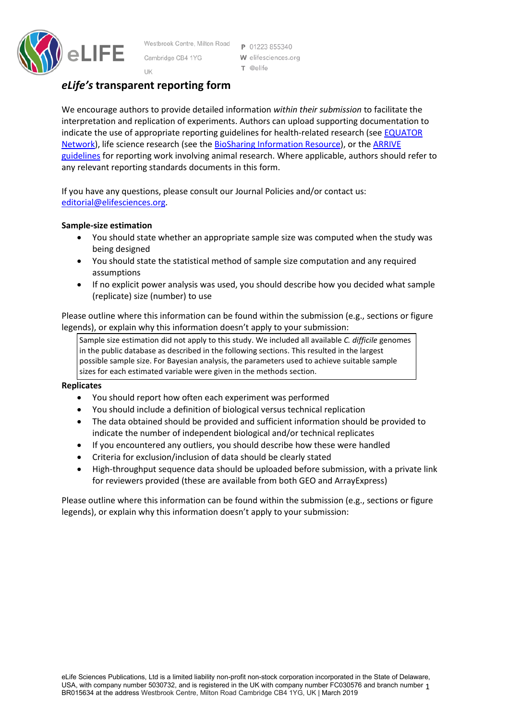

Westbrook Centre, Milton Road P 01223 855340 Cambridge CB4 1YG UK

W elifesciences.org T @elife

# *eLife's* **transparent reporting form**

We encourage authors to provide detailed information *within their submission* to facilitate the interpretation and replication of experiments. Authors can upload supporting documentation to indicate the use of appropriate reporting guidelines for health-related research (see [EQUATOR](http://www.equator-network.org/)  [Network\)](http://www.equator-network.org/), life science research (see the [BioSharing Information Resource\)](https://biosharing.org/), or the [ARRIVE](http://www.plosbiology.org/article/info:doi/10.1371/journal.pbio.1000412)  [guidelines](http://www.plosbiology.org/article/info:doi/10.1371/journal.pbio.1000412) for reporting work involving animal research. Where applicable, authors should refer to any relevant reporting standards documents in this form.

If you have any questions, please consult our Journal Policies and/or contact us: [editorial@elifesciences.org.](mailto:editorial@elifesciences.org)

## **Sample-size estimation**

- You should state whether an appropriate sample size was computed when the study was being designed
- You should state the statistical method of sample size computation and any required assumptions
- If no explicit power analysis was used, you should describe how you decided what sample (replicate) size (number) to use

Please outline where this information can be found within the submission (e.g., sections or figure legends), or explain why this information doesn't apply to your submission:

Sample size estimation did not apply to this study. We included all available *C. difficile* genomes in the public database as described in the following sections. This resulted in the largest possible sample size. For Bayesian analysis, the parameters used to achieve suitable sample sizes for each estimated variable were given in the methods section.

#### **Replicates**

- You should report how often each experiment was performed
- You should include a definition of biological versus technical replication
- The data obtained should be provided and sufficient information should be provided to indicate the number of independent biological and/or technical replicates
- If you encountered any outliers, you should describe how these were handled
- Criteria for exclusion/inclusion of data should be clearly stated
- High-throughput sequence data should be uploaded before submission, with a private link for reviewers provided (these are available from both GEO and ArrayExpress)

Please outline where this information can be found within the submission (e.g., sections or figure legends), or explain why this information doesn't apply to your submission: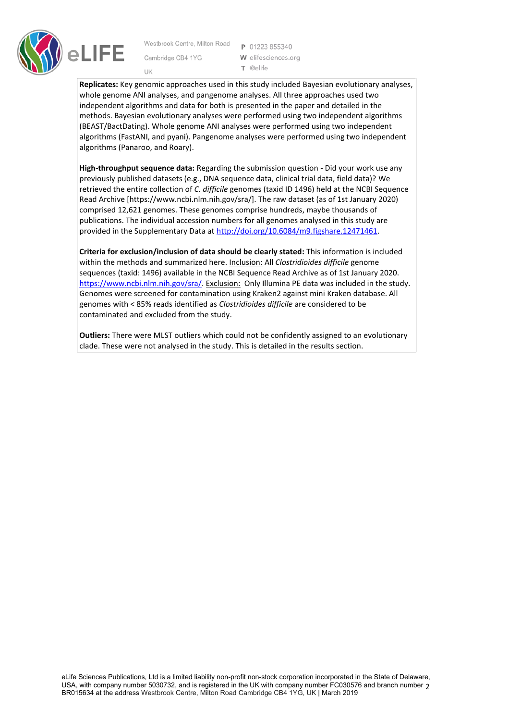

Westbrook Centre, Milton Road Cambridge CB4 1YG UK

P 01223 855340 W elifesciences.org T @elife

**Replicates:** Key genomic approaches used in this study included Bayesian evolutionary analyses, whole genome ANI analyses, and pangenome analyses. All three approaches used two independent algorithms and data for both is presented in the paper and detailed in the methods. Bayesian evolutionary analyses were performed using two independent algorithms (BEAST/BactDating). Whole genome ANI analyses were performed using two independent algorithms (FastANI, and pyani). Pangenome analyses were performed using two independent algorithms (Panaroo, and Roary).

**High-throughput sequence data:** Regarding the submission question - Did your work use any previously published datasets (e.g., DNA sequence data, clinical trial data, field data)? We retrieved the entire collection of *C. difficile* genomes (taxid ID 1496) held at the NCBI Sequence Read Archive [https://www.ncbi.nlm.nih.gov/sra/]. The raw dataset (as of 1st January 2020) comprised 12,621 genomes. These genomes comprise hundreds, maybe thousands of publications. The individual accession numbers for all genomes analysed in this study are provided in the Supplementary Data at [http://doi.org/10.6084/m9.figshare.12471461.](http://doi.org/10.6084/m9.figshare.12471461)

**Criteria for exclusion/inclusion of data should be clearly stated:** This information is included within the methods and summarized here. Inclusion: All *Clostridioides difficile* genome sequences (taxid: 1496) available in the NCBI Sequence Read Archive as of 1st January 2020. [https://www.ncbi.nlm.nih.gov/sra/.](https://www.ncbi.nlm.nih.gov/sra/) Exclusion: Only Illumina PE data was included in the study. Genomes were screened for contamination using Kraken2 against mini Kraken database. All genomes with < 85% reads identified as *Clostridioides difficile* are considered to be contaminated and excluded from the study.

**Outliers:** There were MLST outliers which could not be confidently assigned to an evolutionary clade. These were not analysed in the study. This is detailed in the results section.